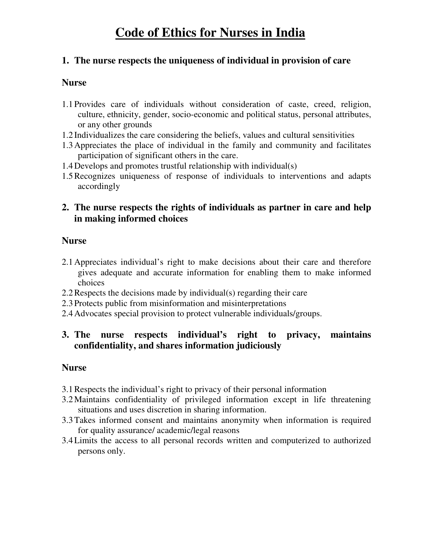# **Code of Ethics for Nurses in India**

### **1. The nurse respects the uniqueness of individual in provision of care**

### **Nurse**

- 1.1 Provides care of individuals without consideration of caste, creed, religion, culture, ethnicity, gender, socio-economic and political status, personal attributes, or any other grounds
- 1.2 Individualizes the care considering the beliefs, values and cultural sensitivities
- 1.3Appreciates the place of individual in the family and community and facilitates participation of significant others in the care.
- 1.4Develops and promotes trustful relationship with individual(s)
- 1.5Recognizes uniqueness of response of individuals to interventions and adapts accordingly

# **2. The nurse respects the rights of individuals as partner in care and help in making informed choices**

### **Nurse**

- 2.1Appreciates individual's right to make decisions about their care and therefore gives adequate and accurate information for enabling them to make informed choices
- 2.2Respects the decisions made by individual(s) regarding their care
- 2.3 Protects public from misinformation and misinterpretations
- 2.4Advocates special provision to protect vulnerable individuals/groups.

# **3. The nurse respects individual's right to privacy, maintains confidentiality, and shares information judiciously**

- 3.1Respects the individual's right to privacy of their personal information
- 3.2Maintains confidentiality of privileged information except in life threatening situations and uses discretion in sharing information.
- 3.3Takes informed consent and maintains anonymity when information is required for quality assurance/ academic/legal reasons
- 3.4Limits the access to all personal records written and computerized to authorized persons only.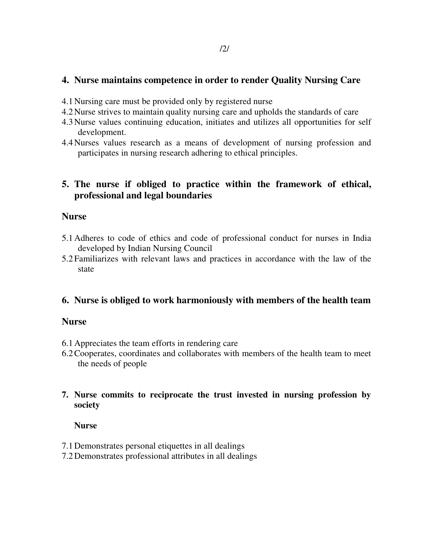### **4. Nurse maintains competence in order to render Quality Nursing Care**

- 4.1Nursing care must be provided only by registered nurse
- 4.2Nurse strives to maintain quality nursing care and upholds the standards of care
- 4.3Nurse values continuing education, initiates and utilizes all opportunities for self development.
- 4.4Nurses values research as a means of development of nursing profession and participates in nursing research adhering to ethical principles.

### **5. The nurse if obliged to practice within the framework of ethical, professional and legal boundaries**

### **Nurse**

- 5.1Adheres to code of ethics and code of professional conduct for nurses in India developed by Indian Nursing Council
- 5.2 Familiarizes with relevant laws and practices in accordance with the law of the state

# **6. Nurse is obliged to work harmoniously with members of the health team**

### **Nurse**

- 6.1Appreciates the team efforts in rendering care
- 6.2Cooperates, coordinates and collaborates with members of the health team to meet the needs of people

### **7. Nurse commits to reciprocate the trust invested in nursing profession by society**

- 7.1Demonstrates personal etiquettes in all dealings
- 7.2Demonstrates professional attributes in all dealings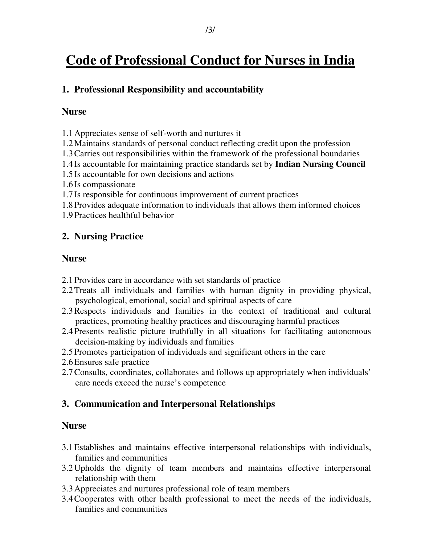# **Code of Professional Conduct for Nurses in India**

## **1. Professional Responsibility and accountability**

### **Nurse**

1.1Appreciates sense of self-worth and nurtures it

- 1.2Maintains standards of personal conduct reflecting credit upon the profession
- 1.3Carries out responsibilities within the framework of the professional boundaries
- 1.4 Is accountable for maintaining practice standards set by **Indian Nursing Council**
- 1.5 Is accountable for own decisions and actions
- 1.6 Is compassionate
- 1.7 Is responsible for continuous improvement of current practices
- 1.8 Provides adequate information to individuals that allows them informed choices
- 1.9 Practices healthful behavior

# **2. Nursing Practice**

### **Nurse**

- 2.1 Provides care in accordance with set standards of practice
- 2.2Treats all individuals and families with human dignity in providing physical, psychological, emotional, social and spiritual aspects of care
- 2.3Respects individuals and families in the context of traditional and cultural practices, promoting healthy practices and discouraging harmful practices
- 2.4 Presents realistic picture truthfully in all situations for facilitating autonomous decision-making by individuals and families
- 2.5 Promotes participation of individuals and significant others in the care
- 2.6Ensures safe practice
- 2.7Consults, coordinates, collaborates and follows up appropriately when individuals' care needs exceed the nurse's competence

# **3. Communication and Interpersonal Relationships**

- 3.1Establishes and maintains effective interpersonal relationships with individuals, families and communities
- 3.2Upholds the dignity of team members and maintains effective interpersonal relationship with them
- 3.3Appreciates and nurtures professional role of team members
- 3.4Cooperates with other health professional to meet the needs of the individuals, families and communities